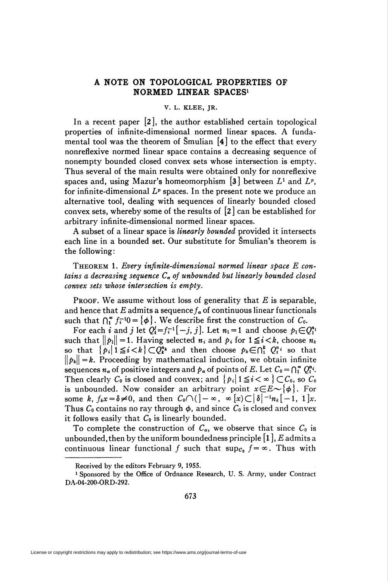## A NOTE ON TOPOLOGICAL PROPERTIES OF NORMED LINEAR SPACES1

## V. L. KLEE, JR.

In a recent paper [2], the author established certain topological properties of infinite-dimensional normed linear spaces. A fundamental tool was the theorem of Smulian  $\mathbf{A}$  to the effect that every nonreflexive normed linear space contains a decreasing sequence of nonempty bounded closed convex sets whose intersection is empty. Thus several of the main results were obtained only for nonreflexive spaces and, using Mazur's homeomorphism [3] between  $L^1$  and  $L^p$ , for infinite-dimensional  $L^p$  spaces. In the present note we produce an alternative tool, dealing with sequences of linearly bounded closed convex sets, whereby some of the results of [2] can be established for arbitrary infinite-dimensional normed linear spaces.

A subset of a linear space is *linearly bounded* provided it intersects each line in a bounded set. Our substitute for Smulian's theorem is the following:

THEOREM 1. Every infinite-dimensional normed linear space E contains a decreasing sequence  $C_{\alpha}$  of unbounded but linearly bounded closed convex sets whose intersection is empty.

PROOF. We assume without loss of generality that  $E$  is separable, and hence that E admits a sequence  $f_{\alpha}$  of continuous linear functionals such that  $\bigcap_{i=1}^{\infty} f_i^{-1}0 = {\phi}$ . We describe first the construction of  $C_0$ .

For each i and j let  $Q_i^j=f_i^{-1}[-j, j]$ . Let  $n_1=1$  and choose  $p_1 \in Q_1^{n_1}$ such that  $\|p_i\| = 1$ . Having selected  $n_i$  and  $p_i$  for  $1 \leq i < k$ , choose  $n_k$ so that  $\{p_i \mid 1 \leq i < k\} \subset Q_k^{n_k}$  and then choose  $p_k \in \bigcap_{i=1}^k Q_i^{n_i}$  so that  $\|\rho_k\| = k$ . Proceeding by mathematical induction, we obtain infinite sequences  $n_{\alpha}$  of positive integers and  $p_{\alpha}$  of points of E. Let  $C_0 = \bigcap_{i=1}^{\infty} Q_i^{n_i}$ . Then clearly  $C_0$  is closed and convex; and  $\{p_i | 1 \leq i < \infty \} \subset C_0$ , so  $C_0$ is unbounded. Now consider an arbitrary point  $x \in E \sim \{\phi\}$ . For some k,  $f_k x = \delta \neq 0$ , and then  $C_0 \cap ($ ]  $-\infty$ ,  $\infty$  [x)  $\subset |\delta|^{-1} n_k[-1, 1]x$ . Thus  $C_0$  contains no ray through  $\phi$ , and since  $C_0$  is closed and convex it follows easily that  $C_0$  is linearly bounded.

To complete the construction of  $C_{\alpha}$ , we observe that since  $C_0$  is unbounded, then by the uniform boundedness principle  $[1]$ , E admits a continuous linear functional f such that  $\sup c_0$   $f = \infty$ . Thus with

Received by the editors February 9, 1955.

<sup>1</sup> Sponsored by the Office of Ordnance Research, U. S. Army, under Contract DA-04-200-ORD-292.